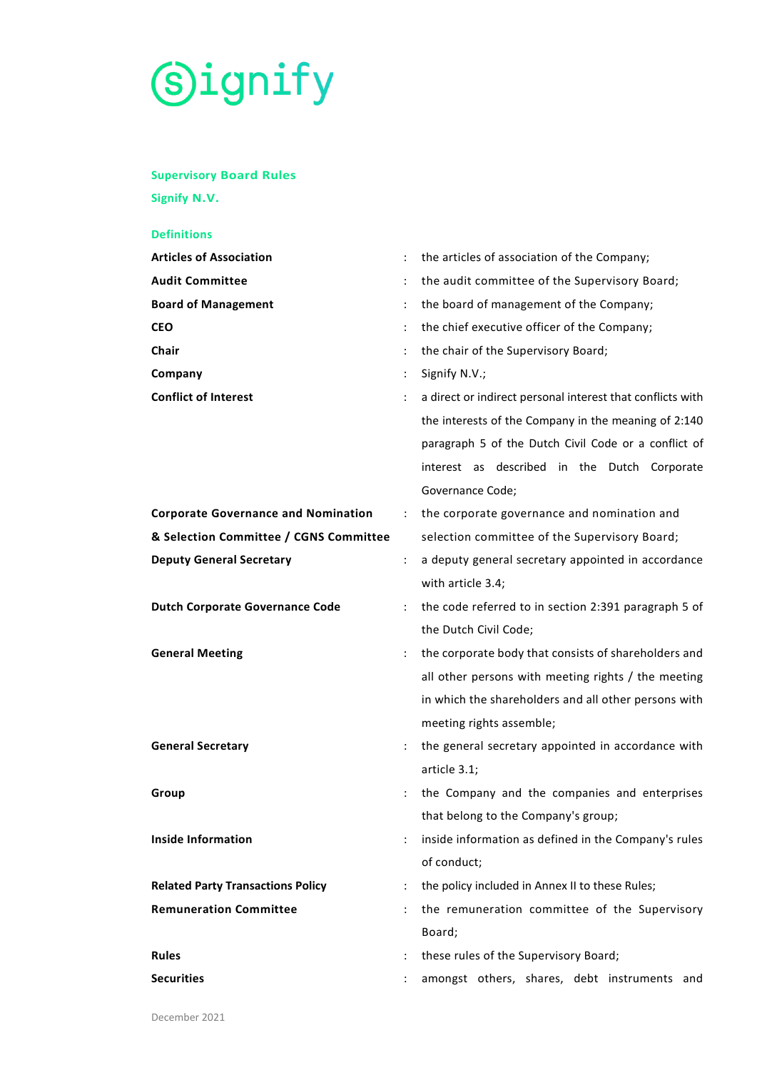# S)ignify

# **Supervisory Board Rules**

**Signify N.V.**

# **Definitions Articles of Association** : the articles of association of the Company; Audit Committee **1998** is the audit committee of the Supervisory Board; **Board of Management** : the board of management of the Company; **CEO in the chief executive officer of the Company; Chair Chair Chair Chair Chair Chair Chair Chair Chair Chair Chair Chair Chair Chair Chair Chair Chair Chair Chair Chair Chair Chair Chair Chair Chair Chair Chair Chair Company** : Signify N.V.; **Conflict of Interest** : a direct or indirect personal interest that conflicts with the interests of the Company in the meaning of 2:140 paragraph 5 of the Dutch Civil Code or a conflict of interest as described in the Dutch Corporate Governance Code; **Corporate Governance and Nomination** : the corporate governance and nomination and **& Selection Committee / CGNS Committee** selection committee of the Supervisory Board; **Deputy General Secretary 1988** : a deputy general secretary appointed in accordance with article [3.4;](#page-4-0) **Dutch Corporate Governance Code** : the code referred to in section 2:391 paragraph 5 of the Dutch Civil Code; **General Meeting Example 20** in the corporate body that consists of shareholders and all other persons with meeting rights / the meeting in which the shareholders and all other persons with meeting rights assemble; **General Secretary Secretary 1988 1988 1988 1989 1 the general secretary appointed in accordance with** article [3.1;](#page-3-0) **Group Group Example 2 Company and the companies and enterprises** that belong to the Company's group; **Inside Information institute in the Company's rules** in the Company's rules of conduct; **Related Party Transactions Policy** : the policy included in Annex II to these Rules; **Remuneration Committee** : the remuneration committee of the Supervisory Board; **Rules** : these rules of the Supervisory Board; **Securities Securities Example 20** is amongst others, shares, debt instruments and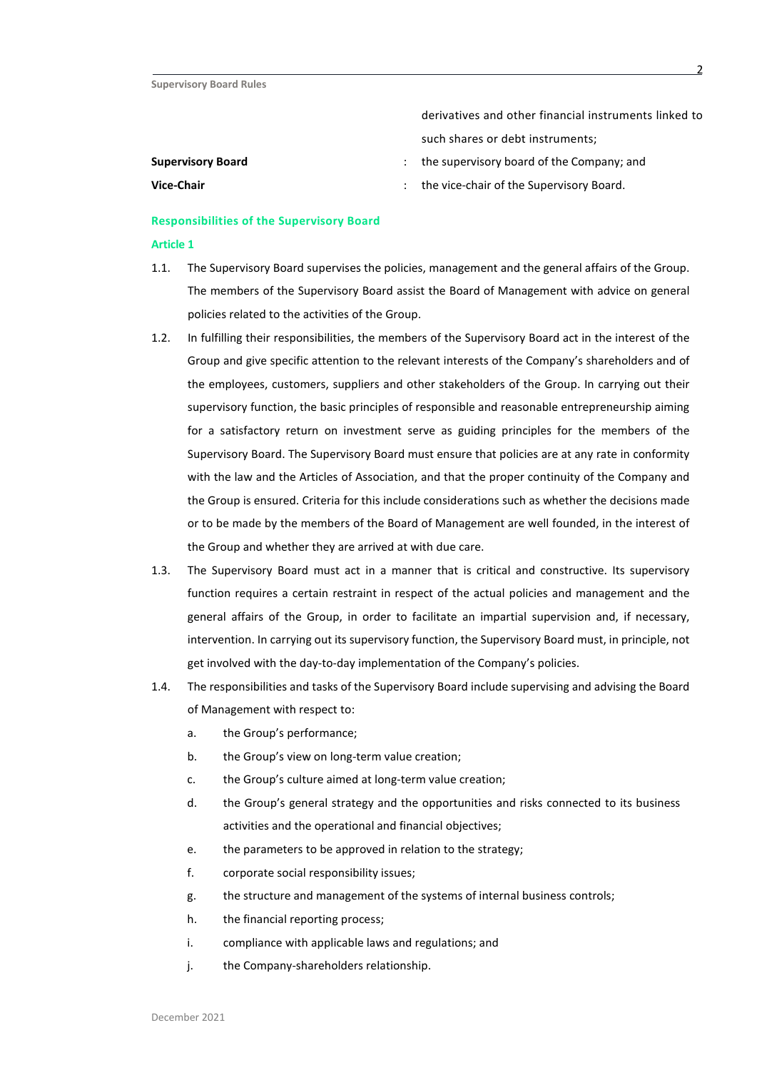- derivatives and other financial instruments linked to such shares or debt instruments;
- **Supervisory Board Supervisory Board :** the supervisory board of the Company; and
- **Vice-Chair Vice-Chair Constant Constant Constant Constant Constant Constant Constant Constant Constant Constant Constant Constant Constant Constant Constant Constant Constant Constant Constant Constant Constant Consta**

# **Responsibilities of the Supervisory Board**

- 1.1. The Supervisory Board supervises the policies, management and the general affairs of the Group. The members of the Supervisory Board assist the Board of Management with advice on general policies related to the activities of the Group.
- 1.2. In fulfilling their responsibilities, the members of the Supervisory Board act in the interest of the Group and give specific attention to the relevant interests of the Company's shareholders and of the employees, customers, suppliers and other stakeholders of the Group. In carrying out their supervisory function, the basic principles of responsible and reasonable entrepreneurship aiming for a satisfactory return on investment serve as guiding principles for the members of the Supervisory Board. The Supervisory Board must ensure that policies are at any rate in conformity with the law and the Articles of Association, and that the proper continuity of the Company and the Group is ensured. Criteria for this include considerations such as whether the decisions made or to be made by the members of the Board of Management are well founded, in the interest of the Group and whether they are arrived at with due care.
- 1.3. The Supervisory Board must act in a manner that is critical and constructive. Its supervisory function requires a certain restraint in respect of the actual policies and management and the general affairs of the Group, in order to facilitate an impartial supervision and, if necessary, intervention. In carrying out its supervisory function, the Supervisory Board must, in principle, not get involved with the day-to-day implementation of the Company's policies.
- 1.4. The responsibilities and tasks of the Supervisory Board include supervising and advising the Board of Management with respect to:
	- a. the Group's performance;
	- b. the Group's view on long-term value creation;
	- c. the Group's culture aimed at long-term value creation;
	- d. the Group's general strategy and the opportunities and risks connected to its business activities and the operational and financial objectives;
	- e. the parameters to be approved in relation to the strategy;
	- f. corporate social responsibility issues;
	- g. the structure and management of the systems of internal business controls;
	- h. the financial reporting process;
	- i. compliance with applicable laws and regulations; and
	- j. the Company-shareholders relationship.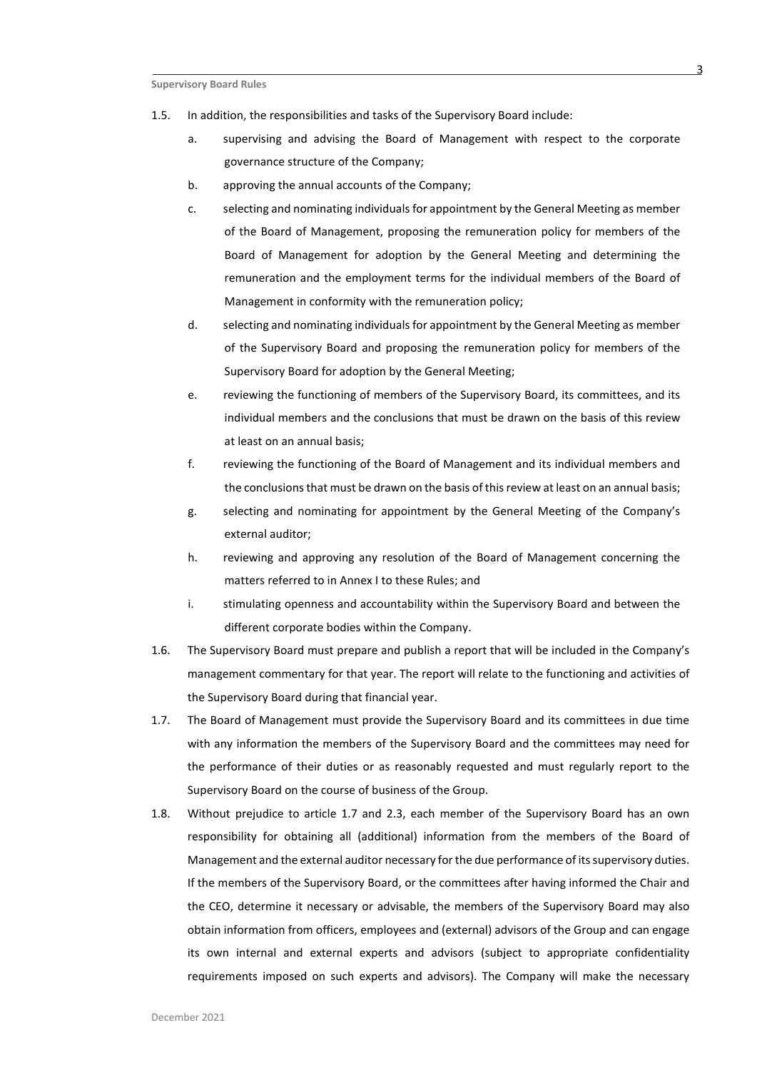- 1.5. In addition, the responsibilities and tasks of the Supervisory Board include:
	- a. supervising and advising the Board of Management with respect to the corporate governance structure of the Company;
	- b. approving the annual accounts of the Company;
	- c. selecting and nominating individuals for appointment by the General Meeting as member of the Board of Management, proposing the remuneration policy for members of the Board of Management for adoption by the General Meeting and determining the remuneration and the employment terms for the individual members of the Board of Management in conformity with the remuneration policy;
	- d. selecting and nominating individuals for appointment by the General Meeting as member of the Supervisory Board and proposing the remuneration policy for members of the Supervisory Board for adoption by the General Meeting;
	- e. reviewing the functioning of members of the Supervisory Board, its committees, and its individual members and the conclusions that must be drawn on the basis of this review at least on an annual basis;
	- f. reviewing the functioning of the Board of Management and its individual members and the conclusions that must be drawn on the basis of this review at least on an annual basis;
	- g. selecting and nominating for appointment by the General Meeting of the Company's external auditor;
	- h. reviewing and approving any resolution of the Board of Management concerning the matters referred to in Annex I to these Rules; and
	- i. stimulating openness and accountability within the Supervisory Board and between the different corporate bodies within the Company.
- 1.6. The Supervisory Board must prepare and publish a report that will be included in the Company's management commentary for that year. The report will relate to the functioning and activities of the Supervisory Board during that financial year.
- <span id="page-2-0"></span>1.7. The Board of Management must provide the Supervisory Board and its committees in due time with any information the members of the Supervisory Board and the committees may need for the performance of their duties or as reasonably requested and must regularly report to the Supervisory Board on the course of business of the Group.
- 1.8. Without prejudice to article [1.7](#page-2-0) and [2.3,](#page-3-1) each member of the Supervisory Board has an own responsibility for obtaining all (additional) information from the members of the Board of Management and the external auditor necessary for the due performance of its supervisory duties. If the members of the Supervisory Board, or the committees after having informed the Chair and the CEO, determine it necessary or advisable, the members of the Supervisory Board may also obtain information from officers, employees and (external) advisors of the Group and can engage its own internal and external experts and advisors (subject to appropriate confidentiality requirements imposed on such experts and advisors). The Company will make the necessary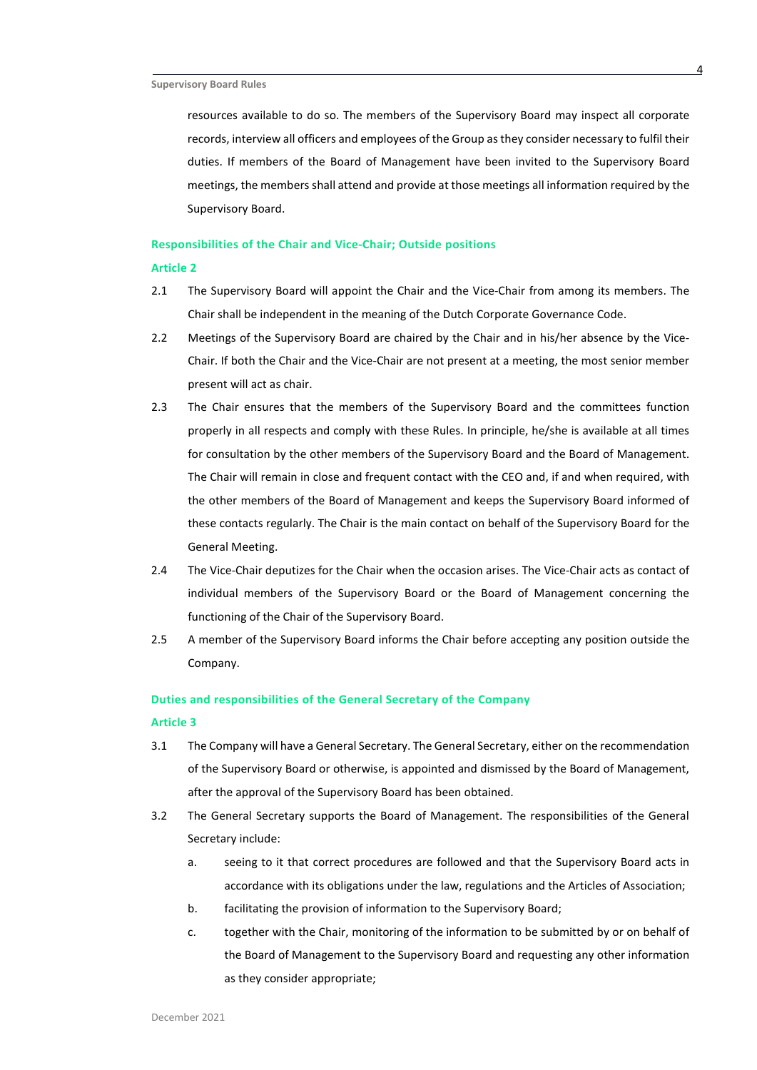resources available to do so. The members of the Supervisory Board may inspect all corporate records, interview all officers and employees of the Group as they consider necessary to fulfil their duties. If members of the Board of Management have been invited to the Supervisory Board meetings, the members shall attend and provide at those meetings all information required by the Supervisory Board.

# **Responsibilities of the Chair and Vice-Chair; Outside positions**

#### **Article 2**

- 2.1 The Supervisory Board will appoint the Chair and the Vice-Chair from among its members. The Chair shall be independent in the meaning of the Dutch Corporate Governance Code.
- 2.2 Meetings of the Supervisory Board are chaired by the Chair and in his/her absence by the Vice-Chair. If both the Chair and the Vice-Chair are not present at a meeting, the most senior member present will act as chair.
- <span id="page-3-1"></span>2.3 The Chair ensures that the members of the Supervisory Board and the committees function properly in all respects and comply with these Rules. In principle, he/she is available at all times for consultation by the other members of the Supervisory Board and the Board of Management. The Chair will remain in close and frequent contact with the CEO and, if and when required, with the other members of the Board of Management and keeps the Supervisory Board informed of these contacts regularly. The Chair is the main contact on behalf of the Supervisory Board for the General Meeting.
- 2.4 The Vice-Chair deputizes for the Chair when the occasion arises. The Vice-Chair acts as contact of individual members of the Supervisory Board or the Board of Management concerning the functioning of the Chair of the Supervisory Board.
- 2.5 A member of the Supervisory Board informs the Chair before accepting any position outside the Company.

# **Duties and responsibilities of the General Secretary of the Company**

- <span id="page-3-0"></span>3.1 The Company will have a General Secretary. The General Secretary, either on the recommendation of the Supervisory Board or otherwise, is appointed and dismissed by the Board of Management, after the approval of the Supervisory Board has been obtained.
- 3.2 The General Secretary supports the Board of Management. The responsibilities of the General Secretary include:
	- a. seeing to it that correct procedures are followed and that the Supervisory Board acts in accordance with its obligations under the law, regulations and the Articles of Association;
	- b. facilitating the provision of information to the Supervisory Board;
	- c. together with the Chair, monitoring of the information to be submitted by or on behalf of the Board of Management to the Supervisory Board and requesting any other information as they consider appropriate;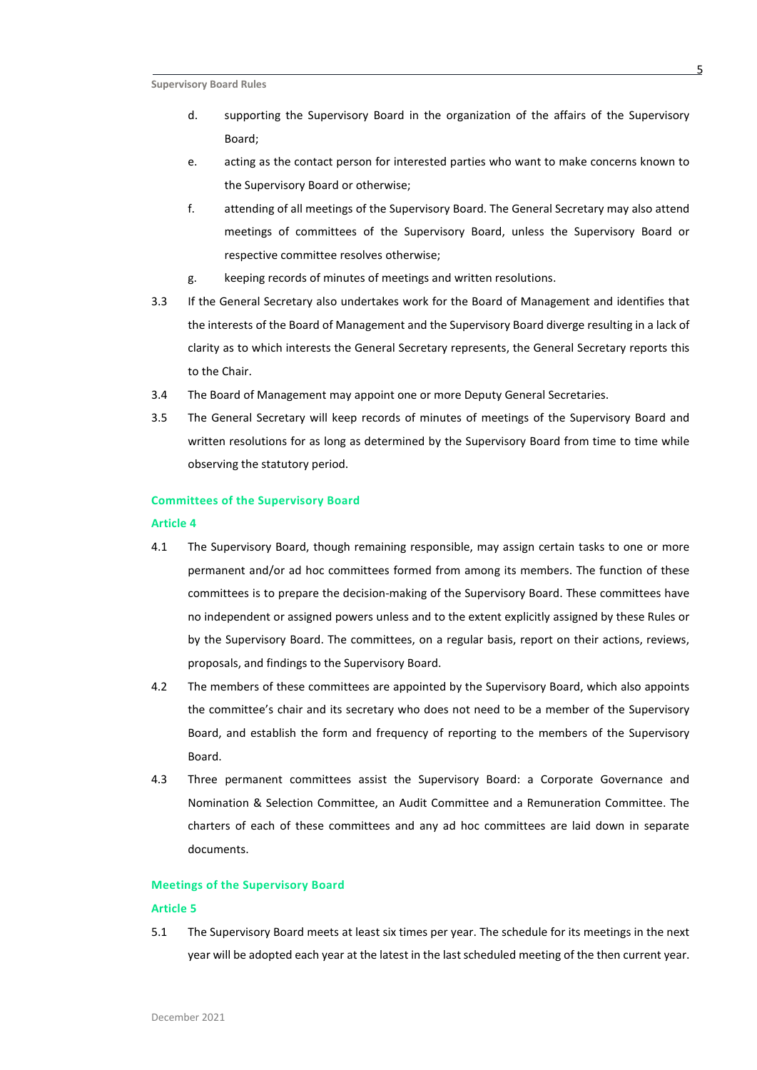- d. supporting the Supervisory Board in the organization of the affairs of the Supervisory Board;
- e. acting as the contact person for interested parties who want to make concerns known to the Supervisory Board or otherwise;
- f. attending of all meetings of the Supervisory Board. The General Secretary may also attend meetings of committees of the Supervisory Board, unless the Supervisory Board or respective committee resolves otherwise;
- g. keeping records of minutes of meetings and written resolutions.
- 3.3 If the General Secretary also undertakes work for the Board of Management and identifies that the interests of the Board of Management and the Supervisory Board diverge resulting in a lack of clarity as to which interests the General Secretary represents, the General Secretary reports this to the Chair.
- <span id="page-4-0"></span>3.4 The Board of Management may appoint one or more Deputy General Secretaries.
- 3.5 The General Secretary will keep records of minutes of meetings of the Supervisory Board and written resolutions for as long as determined by the Supervisory Board from time to time while observing the statutory period.

# **Committees of the Supervisory Board**

#### **Article 4**

- 4.1 The Supervisory Board, though remaining responsible, may assign certain tasks to one or more permanent and/or ad hoc committees formed from among its members. The function of these committees is to prepare the decision-making of the Supervisory Board. These committees have no independent or assigned powers unless and to the extent explicitly assigned by these Rules or by the Supervisory Board. The committees, on a regular basis, report on their actions, reviews, proposals, and findings to the Supervisory Board.
- 4.2 The members of these committees are appointed by the Supervisory Board, which also appoints the committee's chair and its secretary who does not need to be a member of the Supervisory Board, and establish the form and frequency of reporting to the members of the Supervisory Board.
- 4.3 Three permanent committees assist the Supervisory Board: a Corporate Governance and Nomination & Selection Committee, an Audit Committee and a Remuneration Committee. The charters of each of these committees and any ad hoc committees are laid down in separate documents.

#### **Meetings of the Supervisory Board**

#### **Article 5**

5.1 The Supervisory Board meets at least six times per year. The schedule for its meetings in the next year will be adopted each year at the latest in the last scheduled meeting of the then current year.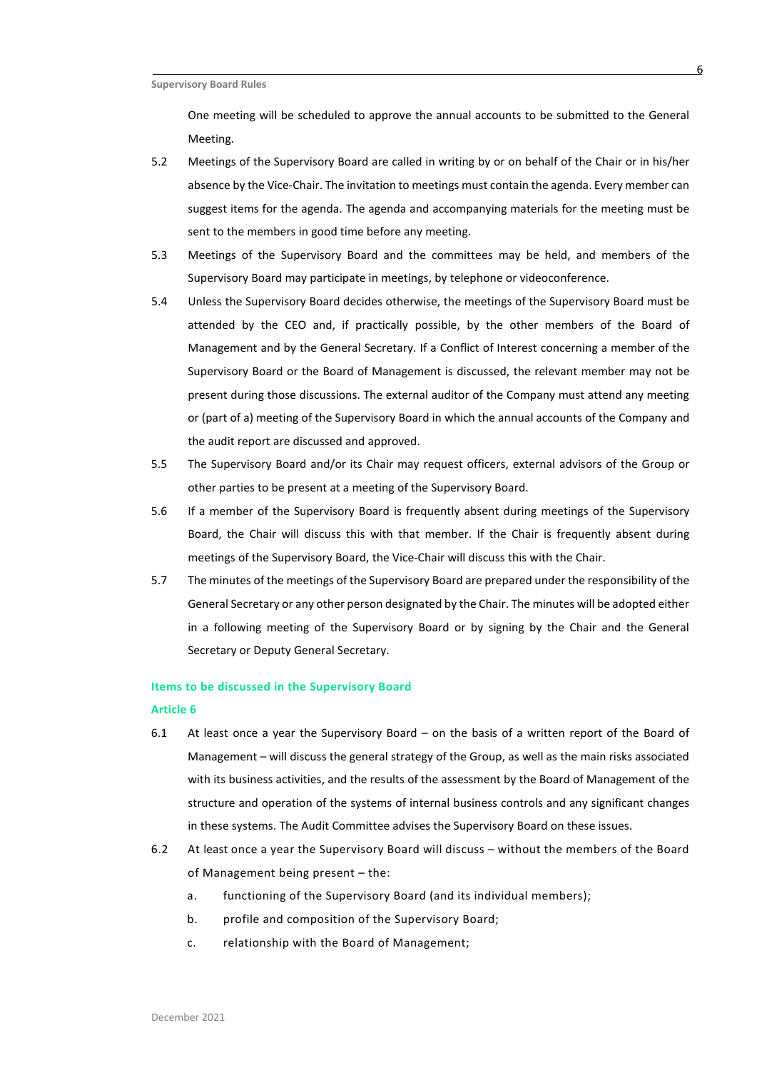One meeting will be scheduled to approve the annual accounts to be submitted to the General Meeting.

- 5.2 Meetings of the Supervisory Board are called in writing by or on behalf of the Chair or in his/her absence by the Vice-Chair. The invitation to meetings must contain the agenda. Every member can suggest items for the agenda. The agenda and accompanying materials for the meeting must be sent to the members in good time before any meeting.
- 5.3 Meetings of the Supervisory Board and the committees may be held, and members of the Supervisory Board may participate in meetings, by telephone or videoconference.
- 5.4 Unless the Supervisory Board decides otherwise, the meetings of the Supervisory Board must be attended by the CEO and, if practically possible, by the other members of the Board of Management and by the General Secretary. If a Conflict of Interest concerning a member of the Supervisory Board or the Board of Management is discussed, the relevant member may not be present during those discussions. The external auditor of the Company must attend any meeting or (part of a) meeting of the Supervisory Board in which the annual accounts of the Company and the audit report are discussed and approved.
- 5.5 The Supervisory Board and/or its Chair may request officers, external advisors of the Group or other parties to be present at a meeting of the Supervisory Board.
- 5.6 If a member of the Supervisory Board is frequently absent during meetings of the Supervisory Board, the Chair will discuss this with that member. If the Chair is frequently absent during meetings of the Supervisory Board, the Vice-Chair will discuss this with the Chair.
- 5.7 The minutes of the meetings of the Supervisory Board are prepared under the responsibility of the General Secretary or any other person designated by the Chair. The minutes will be adopted either in a following meeting of the Supervisory Board or by signing by the Chair and the General Secretary or Deputy General Secretary.

#### **Items to be discussed in the Supervisory Board**

- 6.1 At least once a year the Supervisory Board on the basis of a written report of the Board of Management – will discuss the general strategy of the Group, as well as the main risks associated with its business activities, and the results of the assessment by the Board of Management of the structure and operation of the systems of internal business controls and any significant changes in these systems. The Audit Committee advises the Supervisory Board on these issues.
- 6.2 At least once a year the Supervisory Board will discuss without the members of the Board of Management being present – the:
	- a. functioning of the Supervisory Board (and its individual members);
	- b. profile and composition of the Supervisory Board;
	- c. relationship with the Board of Management;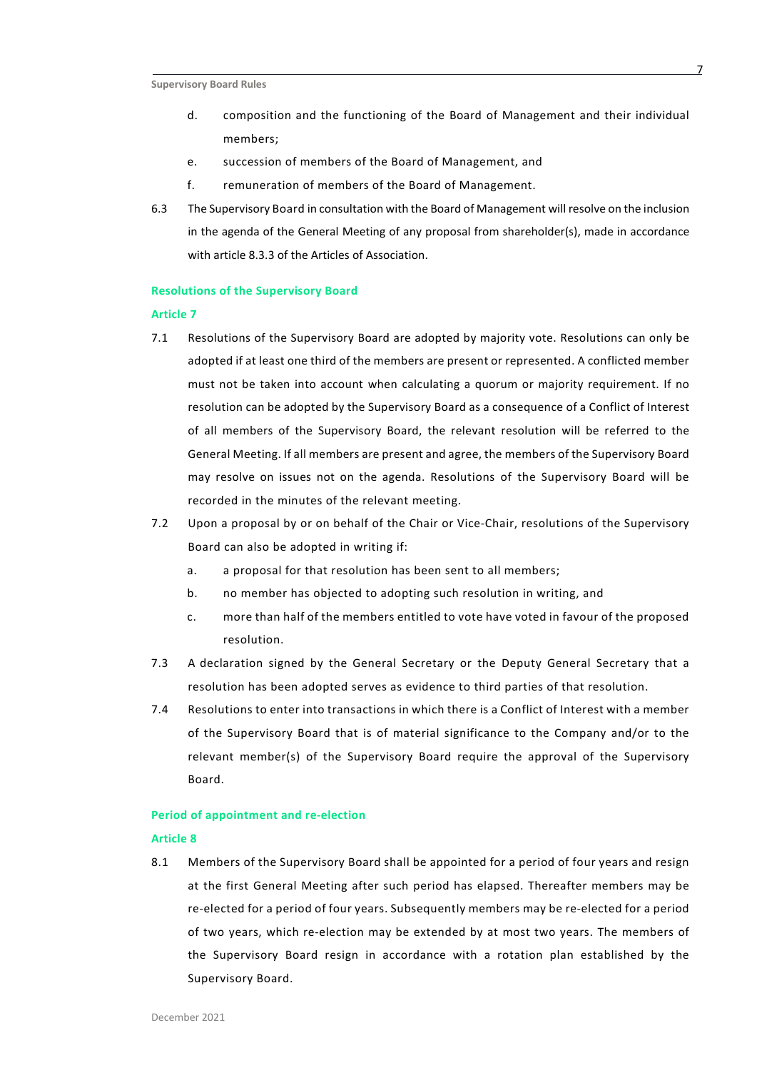- d. composition and the functioning of the Board of Management and their individual members;
- e. succession of members of the Board of Management, and
- f. remuneration of members of the Board of Management.
- 6.3 The Supervisory Board in consultation with the Board of Management will resolve on the inclusion in the agenda of the General Meeting of any proposal from shareholder(s), made in accordance with article 8.3.3 of the Articles of Association.

#### **Resolutions of the Supervisory Board**

# **Article 7**

- 7.1 Resolutions of the Supervisory Board are adopted by majority vote. Resolutions can only be adopted if at least one third of the members are present or represented. A conflicted member must not be taken into account when calculating a quorum or majority requirement. If no resolution can be adopted by the Supervisory Board as a consequence of a Conflict of Interest of all members of the Supervisory Board, the relevant resolution will be referred to the General Meeting. If all members are present and agree, the members of the Supervisory Board may resolve on issues not on the agenda. Resolutions of the Supervisory Board will be recorded in the minutes of the relevant meeting.
- 7.2 Upon a proposal by or on behalf of the Chair or Vice-Chair, resolutions of the Supervisory Board can also be adopted in writing if:
	- a. a proposal for that resolution has been sent to all members;
	- b. no member has objected to adopting such resolution in writing, and
	- c. more than half of the members entitled to vote have voted in favour of the proposed resolution.
- 7.3 A declaration signed by the General Secretary or the Deputy General Secretary that a resolution has been adopted serves as evidence to third parties of that resolution.
- 7.4 Resolutions to enter into transactions in which there is a Conflict of Interest with a member of the Supervisory Board that is of material significance to the Company and/or to the relevant member(s) of the Supervisory Board require the approval of the Supervisory Board.

# **Period of appointment and re-election**

#### **Article 8**

8.1 Members of the Supervisory Board shall be appointed for a period of four years and resign at the first General Meeting after such period has elapsed. Thereafter members may be re-elected for a period of four years. Subsequently members may be re-elected for a period of two years, which re-election may be extended by at most two years. The members of the Supervisory Board resign in accordance with a rotation plan established by the Supervisory Board.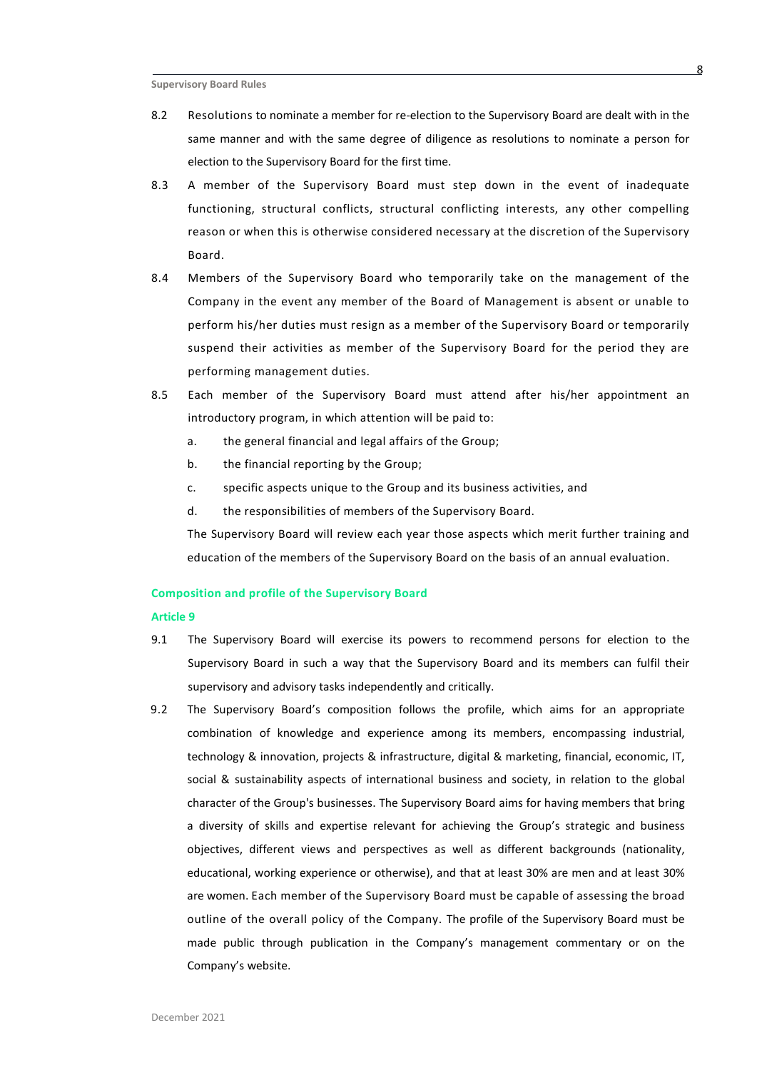- 8.2 Resolutions to nominate a member for re-election to the Supervisory Board are dealt with in the same manner and with the same degree of diligence as resolutions to nominate a person for election to the Supervisory Board for the first time.
- 8.3 A member of the Supervisory Board must step down in the event of inadequate functioning, structural conflicts, structural conflicting interests, any other compelling reason or when this is otherwise considered necessary at the discretion of the Supervisory Board.
- 8.4 Members of the Supervisory Board who temporarily take on the management of the Company in the event any member of the Board of Management is absent or unable to perform his/her duties must resign as a member of the Supervisory Board or temporarily suspend their activities as member of the Supervisory Board for the period they are performing management duties.
- 8.5 Each member of the Supervisory Board must attend after his/her appointment an introductory program, in which attention will be paid to:
	- a. the general financial and legal affairs of the Group;
	- b. the financial reporting by the Group;
	- c. specific aspects unique to the Group and its business activities, and
	- d. the responsibilities of members of the Supervisory Board.

The Supervisory Board will review each year those aspects which merit further training and education of the members of the Supervisory Board on the basis of an annual evaluation.

# **Composition and profile of the Supervisory Board**

- 9.1 The Supervisory Board will exercise its powers to recommend persons for election to the Supervisory Board in such a way that the Supervisory Board and its members can fulfil their supervisory and advisory tasks independently and critically.
- 9.2 The Supervisory Board's composition follows the profile, which aims for an appropriate combination of knowledge and experience among its members, encompassing industrial, technology & innovation, projects & infrastructure, digital & marketing, financial, economic, IT, social & sustainability aspects of international business and society, in relation to the global character of the Group's businesses. The Supervisory Board aims for having members that bring a diversity of skills and expertise relevant for achieving the Group's strategic and business objectives, different views and perspectives as well as different backgrounds (nationality, educational, working experience or otherwise), and that at least 30% are men and at least 30% are women. Each member of the Supervisory Board must be capable of assessing the broad outline of the overall policy of the Company. The profile of the Supervisory Board must be made public through publication in the Company's management commentary or on the Company's website.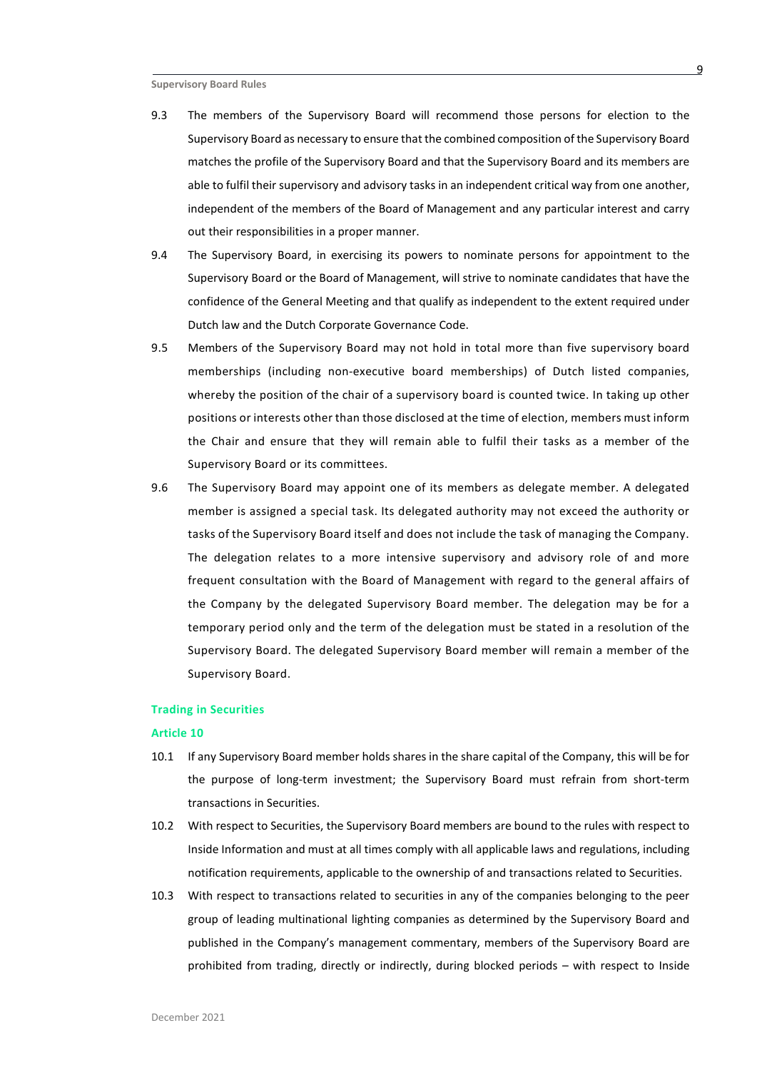- 9.3 The members of the Supervisory Board will recommend those persons for election to the Supervisory Board as necessary to ensure that the combined composition of the Supervisory Board matches the profile of the Supervisory Board and that the Supervisory Board and its members are able to fulfil their supervisory and advisory tasks in an independent critical way from one another, independent of the members of the Board of Management and any particular interest and carry out their responsibilities in a proper manner.
- 9.4 The Supervisory Board, in exercising its powers to nominate persons for appointment to the Supervisory Board or the Board of Management, will strive to nominate candidates that have the confidence of the General Meeting and that qualify as independent to the extent required under Dutch law and the Dutch Corporate Governance Code.
- 9.5 Members of the Supervisory Board may not hold in total more than five supervisory board memberships (including non-executive board memberships) of Dutch listed companies, whereby the position of the chair of a supervisory board is counted twice. In taking up other positions or interests other than those disclosed at the time of election, members must inform the Chair and ensure that they will remain able to fulfil their tasks as a member of the Supervisory Board or its committees.
- 9.6 The Supervisory Board may appoint one of its members as delegate member. A delegated member is assigned a special task. Its delegated authority may not exceed the authority or tasks of the Supervisory Board itself and does not include the task of managing the Company. The delegation relates to a more intensive supervisory and advisory role of and more frequent consultation with the Board of Management with regard to the general affairs of the Company by the delegated Supervisory Board member. The delegation may be for a temporary period only and the term of the delegation must be stated in a resolution of the Supervisory Board. The delegated Supervisory Board member will remain a member of the Supervisory Board.

## **Trading in Securities**

- 10.1 If any Supervisory Board member holds shares in the share capital of the Company, this will be for the purpose of long-term investment; the Supervisory Board must refrain from short-term transactions in Securities.
- 10.2 With respect to Securities, the Supervisory Board members are bound to the rules with respect to Inside Information and must at all times comply with all applicable laws and regulations, including notification requirements, applicable to the ownership of and transactions related to Securities.
- 10.3 With respect to transactions related to securities in any of the companies belonging to the peer group of leading multinational lighting companies as determined by the Supervisory Board and published in the Company's management commentary, members of the Supervisory Board are prohibited from trading, directly or indirectly, during blocked periods – with respect to Inside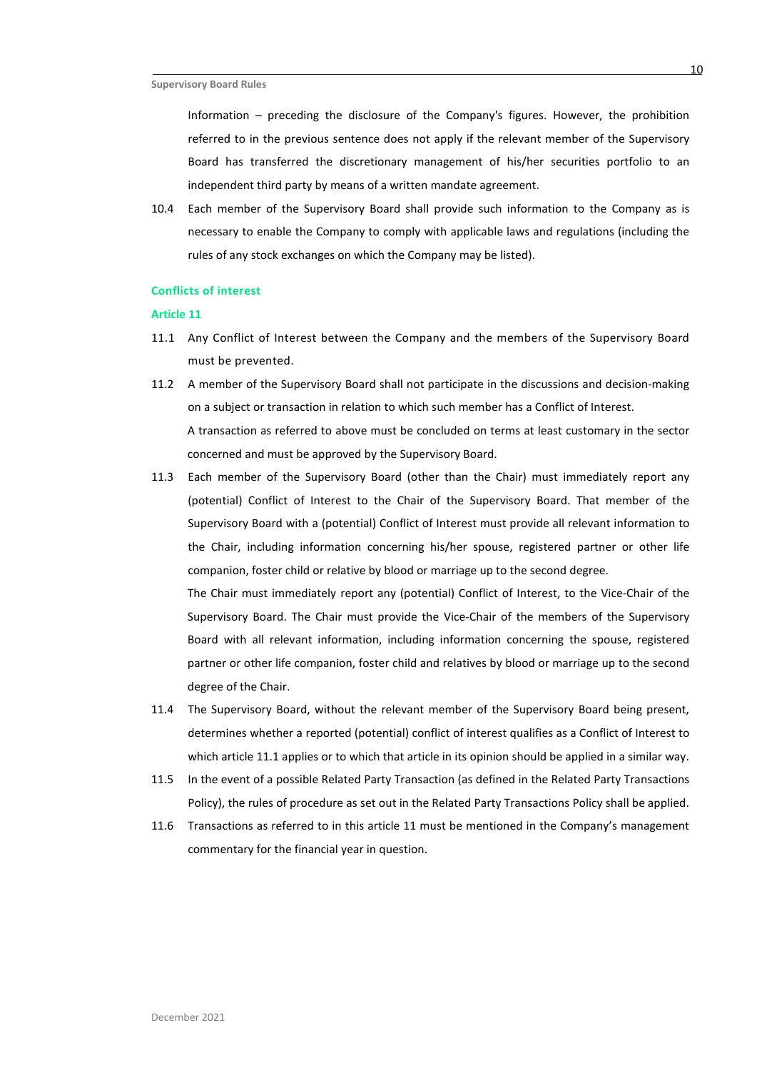Information – preceding the disclosure of the Company's figures. However, the prohibition referred to in the previous sentence does not apply if the relevant member of the Supervisory Board has transferred the discretionary management of his/her securities portfolio to an independent third party by means of a written mandate agreement.

10.4 Each member of the Supervisory Board shall provide such information to the Company as is necessary to enable the Company to comply with applicable laws and regulations (including the rules of any stock exchanges on which the Company may be listed).

#### **Conflicts of interest**

# **Article 11**

- <span id="page-9-0"></span>11.1 Any Conflict of Interest between the Company and the members of the Supervisory Board must be prevented.
- 11.2 A member of the Supervisory Board shall not participate in the discussions and decision-making on a subject or transaction in relation to which such member has a Conflict of Interest. A transaction as referred to above must be concluded on terms at least customary in the sector concerned and must be approved by the Supervisory Board.
- 11.3 Each member of the Supervisory Board (other than the Chair) must immediately report any (potential) Conflict of Interest to the Chair of the Supervisory Board. That member of the Supervisory Board with a (potential) Conflict of Interest must provide all relevant information to the Chair, including information concerning his/her spouse, registered partner or other life companion, foster child or relative by blood or marriage up to the second degree. The Chair must immediately report any (potential) Conflict of Interest, to the Vice-Chair of the

Supervisory Board. The Chair must provide the Vice-Chair of the members of the Supervisory Board with all relevant information, including information concerning the spouse, registered partner or other life companion, foster child and relatives by blood or marriage up to the second degree of the Chair.

- 11.4 The Supervisory Board, without the relevant member of the Supervisory Board being present, determines whether a reported (potential) conflict of interest qualifies as a Conflict of Interest to which article [11.1](#page-9-0) applies or to which that article in its opinion should be applied in a similar way.
- 11.5 In the event of a possible Related Party Transaction (as defined in the Related Party Transactions Policy), the rules of procedure as set out in the Related Party Transactions Policy shall be applied.
- 11.6 Transactions as referred to in this article 11 must be mentioned in the Company's management commentary for the financial year in question.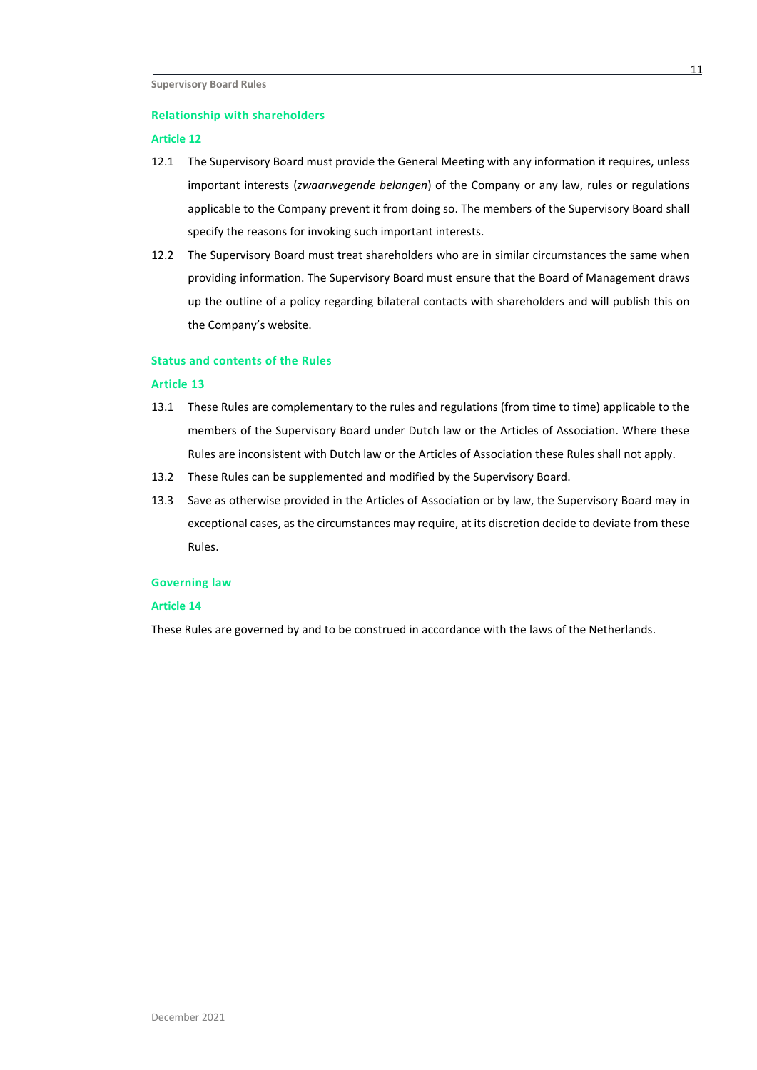#### **Relationship with shareholders**

#### **Article 12**

- 12.1 The Supervisory Board must provide the General Meeting with any information it requires, unless important interests (*zwaarwegende belangen*) of the Company or any law, rules or regulations applicable to the Company prevent it from doing so. The members of the Supervisory Board shall specify the reasons for invoking such important interests.
- 12.2 The Supervisory Board must treat shareholders who are in similar circumstances the same when providing information. The Supervisory Board must ensure that the Board of Management draws up the outline of a policy regarding bilateral contacts with shareholders and will publish this on the Company's website.

# **Status and contents of the Rules**

#### **Article 13**

- 13.1 These Rules are complementary to the rules and regulations (from time to time) applicable to the members of the Supervisory Board under Dutch law or the Articles of Association. Where these Rules are inconsistent with Dutch law or the Articles of Association these Rules shall not apply.
- 13.2 These Rules can be supplemented and modified by the Supervisory Board.
- 13.3 Save as otherwise provided in the Articles of Association or by law, the Supervisory Board may in exceptional cases, as the circumstances may require, at its discretion decide to deviate from these Rules.

#### **Governing law**

#### **Article 14**

These Rules are governed by and to be construed in accordance with the laws of the Netherlands.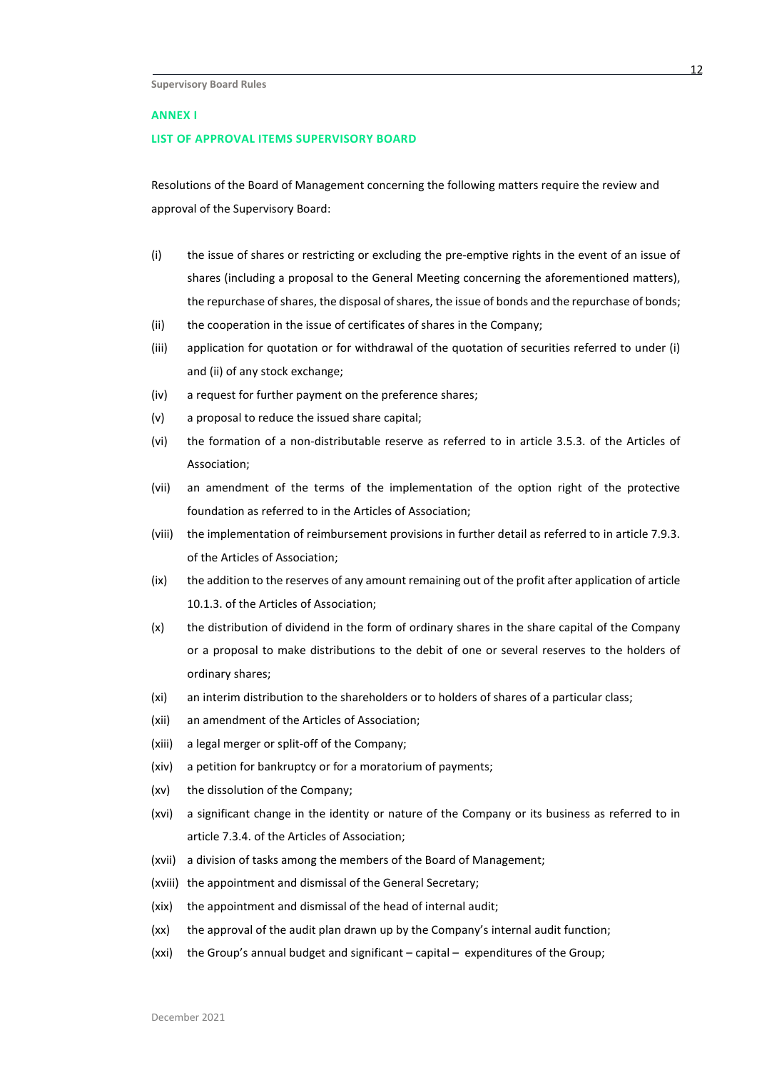#### **ANNEX I**

#### **LIST OF APPROVAL ITEMS SUPERVISORY BOARD**

Resolutions of the Board of Management concerning the following matters require the review and approval of the Supervisory Board:

- (i) the issue of shares or restricting or excluding the pre-emptive rights in the event of an issue of shares (including a proposal to the General Meeting concerning the aforementioned matters), the repurchase of shares, the disposal of shares, the issue of bonds and the repurchase of bonds;
- (ii) the cooperation in the issue of certificates of shares in the Company;
- (iii) application for quotation or for withdrawal of the quotation of securities referred to under (i) and (ii) of any stock exchange;
- (iv) a request for further payment on the preference shares;
- (v) a proposal to reduce the issued share capital;
- (vi) the formation of a non-distributable reserve as referred to in article 3.5.3. of the Articles of Association;
- (vii) an amendment of the terms of the implementation of the option right of the protective foundation as referred to in the Articles of Association;
- (viii) the implementation of reimbursement provisions in further detail as referred to in article 7.9.3. of the Articles of Association;
- (ix) the addition to the reserves of any amount remaining out of the profit after application of article 10.1.3. of the Articles of Association;
- (x) the distribution of dividend in the form of ordinary shares in the share capital of the Company or a proposal to make distributions to the debit of one or several reserves to the holders of ordinary shares;
- (xi) an interim distribution to the shareholders or to holders of shares of a particular class;
- (xii) an amendment of the Articles of Association;
- (xiii) a legal merger or split-off of the Company;
- (xiv) a petition for bankruptcy or for a moratorium of payments;
- (xv) the dissolution of the Company;
- (xvi) a significant change in the identity or nature of the Company or its business as referred to in article 7.3.4. of the Articles of Association;
- (xvii) a division of tasks among the members of the Board of Management;
- (xviii) the appointment and dismissal of the General Secretary;
- (xix) the appointment and dismissal of the head of internal audit;
- (xx) the approval of the audit plan drawn up by the Company's internal audit function;
- (xxi) the Group's annual budget and significant capital expenditures of the Group;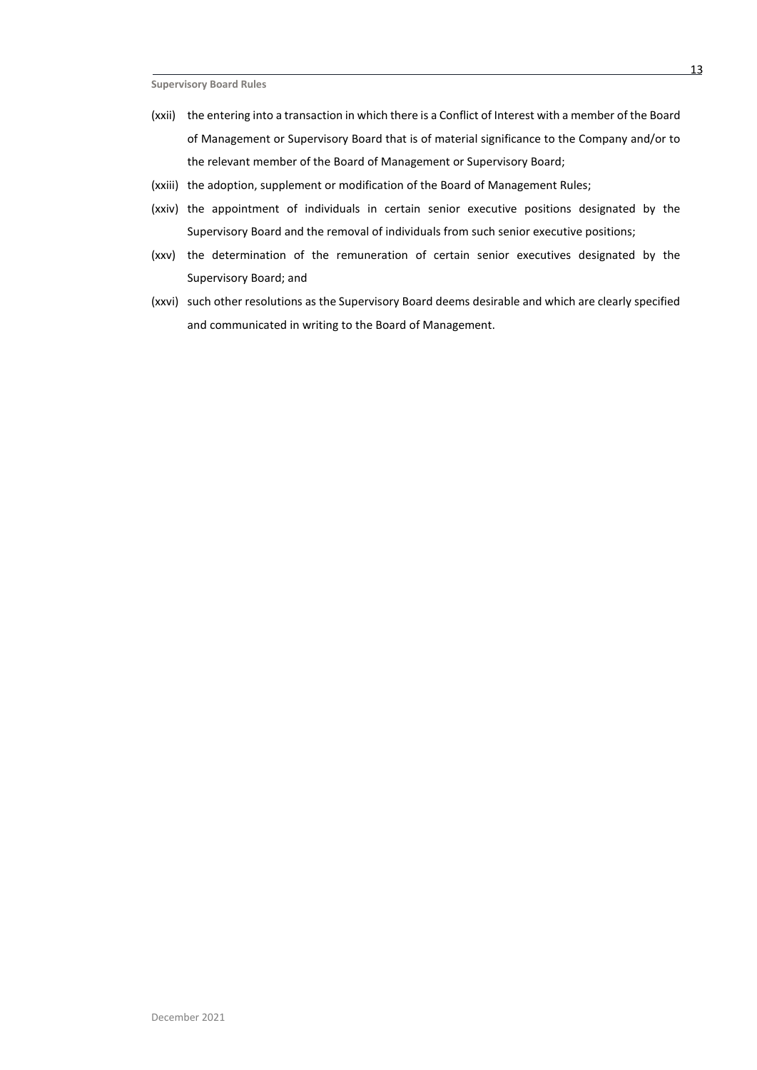- (xxii) the entering into a transaction in which there is a Conflict of Interest with a member of the Board of Management or Supervisory Board that is of material significance to the Company and/or to the relevant member of the Board of Management or Supervisory Board;
- (xxiii) the adoption, supplement or modification of the Board of Management Rules;
- (xxiv) the appointment of individuals in certain senior executive positions designated by the Supervisory Board and the removal of individuals from such senior executive positions;
- (xxv) the determination of the remuneration of certain senior executives designated by the Supervisory Board; and
- (xxvi) such other resolutions as the Supervisory Board deems desirable and which are clearly specified and communicated in writing to the Board of Management.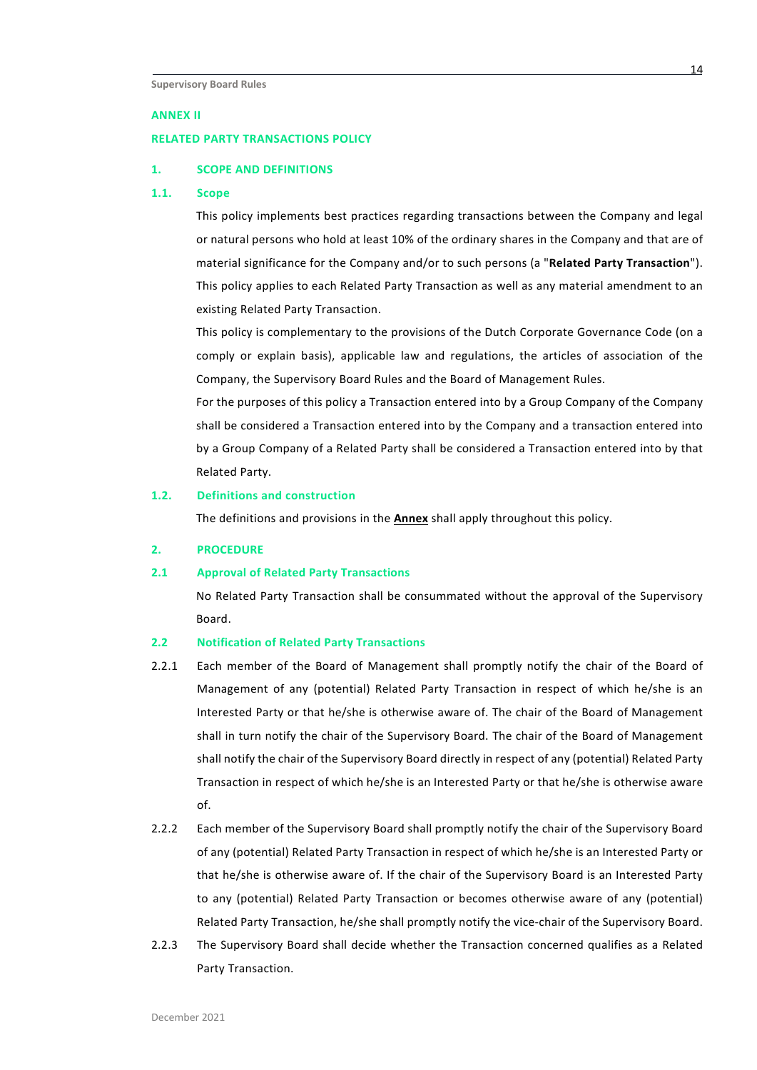#### **ANNEX II**

#### **RELATED PARTY TRANSACTIONS POLICY**

#### **1. SCOPE AND DEFINITIONS**

# <span id="page-13-0"></span>**1.1. Scope**

This policy implements best practices regarding transactions between the Company and legal or natural persons who hold at least 10% of the ordinary shares in the Company and that are of material significance for the Company and/or to such persons (a "**Related Party Transaction**"). This policy applies to each Related Party Transaction as well as any material amendment to an existing Related Party Transaction.

This policy is complementary to the provisions of the Dutch Corporate Governance Code (on a comply or explain basis), applicable law and regulations, the articles of association of the Company, the Supervisory Board Rules and the Board of Management Rules.

For the purposes of this policy a Transaction entered into by a Group Company of the Company shall be considered a Transaction entered into by the Company and a transaction entered into by a Group Company of a Related Party shall be considered a Transaction entered into by that Related Party.

# **1.2. Definitions and construction**

The definitions and provisions in the **Annex** shall apply throughout this policy.

#### **2. PROCEDURE**

#### **2.1 Approval of Related Party Transactions**

No Related Party Transaction shall be consummated without the approval of the Supervisory Board.

#### **2.2 Notification of Related Party Transactions**

- 2.2.1 Each member of the Board of Management shall promptly notify the chair of the Board of Management of any (potential) Related Party Transaction in respect of which he/she is an Interested Party or that he/she is otherwise aware of. The chair of the Board of Management shall in turn notify the chair of the Supervisory Board. The chair of the Board of Management shall notify the chair of the Supervisory Board directly in respect of any (potential) Related Party Transaction in respect of which he/she is an Interested Party or that he/she is otherwise aware of.
- 2.2.2 Each member of the Supervisory Board shall promptly notify the chair of the Supervisory Board of any (potential) Related Party Transaction in respect of which he/she is an Interested Party or that he/she is otherwise aware of. If the chair of the Supervisory Board is an Interested Party to any (potential) Related Party Transaction or becomes otherwise aware of any (potential) Related Party Transaction, he/she shall promptly notify the vice-chair of the Supervisory Board.
- 2.2.3 The Supervisory Board shall decide whether the Transaction concerned qualifies as a Related Party Transaction.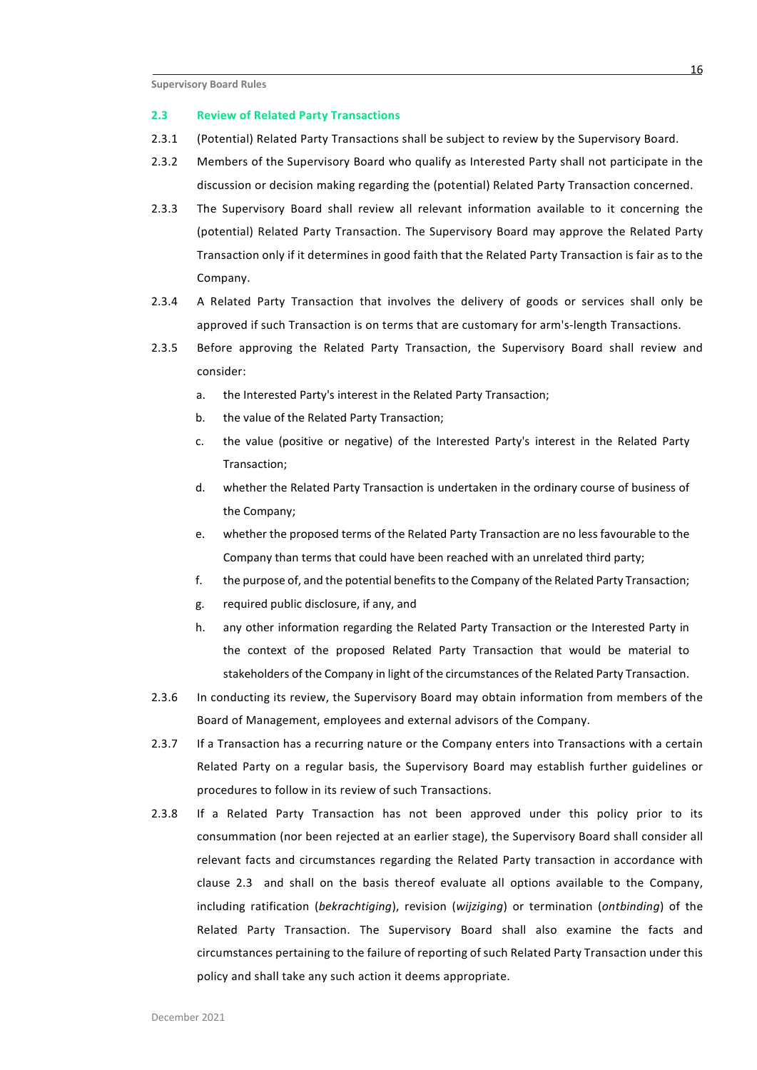#### **2.3 Review of Related Party Transactions**

- 2.3.1 (Potential) Related Party Transactions shall be subject to review by the Supervisory Board.
- 2.3.2 Members of the Supervisory Board who qualify as Interested Party shall not participate in the discussion or decision making regarding the (potential) Related Party Transaction concerned.
- 2.3.3 The Supervisory Board shall review all relevant information available to it concerning the (potential) Related Party Transaction. The Supervisory Board may approve the Related Party Transaction only if it determines in good faith that the Related Party Transaction is fair as to the Company.
- 2.3.4 A Related Party Transaction that involves the delivery of goods or services shall only be approved if such Transaction is on terms that are customary for arm's-length Transactions.
- 2.3.5 Before approving the Related Party Transaction, the Supervisory Board shall review and consider:
	- a. the Interested Party's interest in the Related Party Transaction;
	- b. the value of the Related Party Transaction;
	- c. the value (positive or negative) of the Interested Party's interest in the Related Party Transaction;
	- d. whether the Related Party Transaction is undertaken in the ordinary course of business of the Company;
	- e. whether the proposed terms of the Related Party Transaction are no less favourable to the Company than terms that could have been reached with an unrelated third party;
	- f. the purpose of, and the potential benefits to the Company of the Related Party Transaction;
	- g. required public disclosure, if any, and
	- h. any other information regarding the Related Party Transaction or the Interested Party in the context of the proposed Related Party Transaction that would be material to stakeholders of the Company in light of the circumstances of the Related Party Transaction.
- 2.3.6 In conducting its review, the Supervisory Board may obtain information from members of the Board of Management, employees and external advisors of the Company.
- 2.3.7 If a Transaction has a recurring nature or the Company enters into Transactions with a certain Related Party on a regular basis, the Supervisory Board may establish further guidelines or procedures to follow in its review of such Transactions.
- 2.3.8 If a Related Party Transaction has not been approved under this policy prior to its consummation (nor been rejected at an earlier stage), the Supervisory Board shall consider all relevant facts and circumstances regarding the Related Party transaction in accordance with clause 2.3 and shall on the basis thereof evaluate all options available to the Company, including ratification (*bekrachtiging*), revision (*wijziging*) or termination (*ontbinding*) of the Related Party Transaction. The Supervisory Board shall also examine the facts and circumstances pertaining to the failure of reporting of such Related Party Transaction under this policy and shall take any such action it deems appropriate.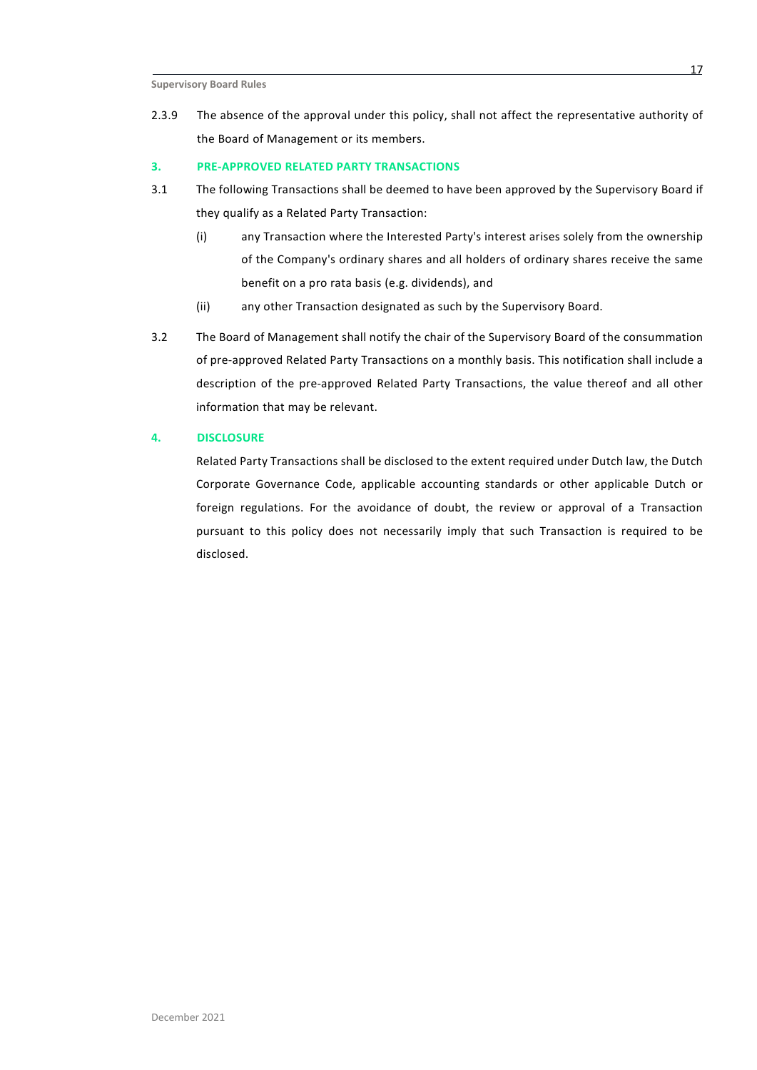2.3.9 The absence of the approval under this policy, shall not affect the representative authority of the Board of Management or its members.

## **3. PRE-APPROVED RELATED PARTY TRANSACTIONS**

- 3.1 The following Transactions shall be deemed to have been approved by the Supervisory Board if they qualify as a Related Party Transaction:
	- (i) any Transaction where the Interested Party's interest arises solely from the ownership of the Company's ordinary shares and all holders of ordinary shares receive the same benefit on a pro rata basis (e.g. dividends), and
	- (ii) any other Transaction designated as such by the Supervisory Board.
- 3.2 The Board of Management shall notify the chair of the Supervisory Board of the consummation of pre-approved Related Party Transactions on a monthly basis. This notification shall include a description of the pre-approved Related Party Transactions, the value thereof and all other information that may be relevant.

# **4. DISCLOSURE**

Related Party Transactions shall be disclosed to the extent required under Dutch law, the Dutch Corporate Governance Code, applicable accounting standards or other applicable Dutch or foreign regulations. For the avoidance of doubt, the review or approval of a Transaction pursuant to this policy does not necessarily imply that such Transaction is required to be disclosed.